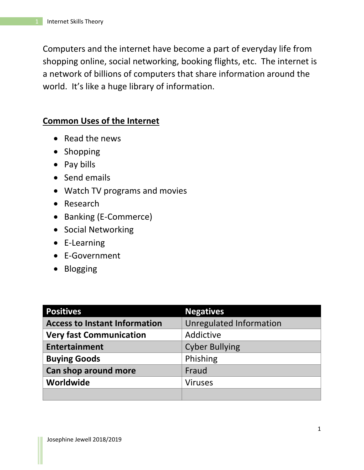Computers and the internet have become a part of everyday life from shopping online, social networking, booking flights, etc. The internet is a network of billions of computers that share information around the world. It's like a huge library of information.

## **Common Uses of the Internet**

- Read the news
- Shopping
- Pay bills
- Send emails
- Watch TV programs and movies
- Research
- Banking (E-Commerce)
- Social Networking
- E-Learning
- E-Government
- Blogging

| <b>Positives</b>                     | <b>Negatives</b>               |
|--------------------------------------|--------------------------------|
| <b>Access to Instant Information</b> | <b>Unregulated Information</b> |
| <b>Very fast Communication</b>       | Addictive                      |
| <b>Entertainment</b>                 | <b>Cyber Bullying</b>          |
| <b>Buying Goods</b>                  | Phishing                       |
| Can shop around more                 | Fraud                          |
| Worldwide                            | <b>Viruses</b>                 |
|                                      |                                |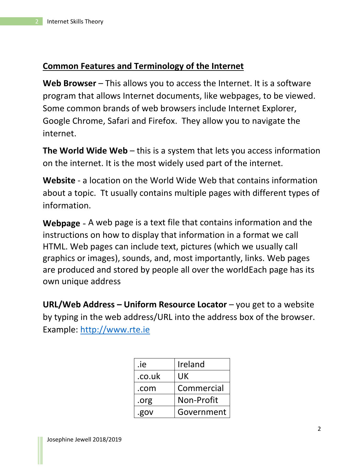## **Common Features and Terminology of the Internet**

**Web Browser** – This allows you to access the Internet. It is a software program that allows Internet documents, like webpages, to be viewed. Some common brands of web browsers include Internet Explorer, Google Chrome, Safari and Firefox. They allow you to navigate the internet.

**The World Wide Web** – this is a system that lets you access information on the internet. It is the most widely used part of the internet.

**Website** - a location on the World Wide Web that contains information about a topic. Tt usually contains multiple pages with different types of information.

**Webpage** - A web page is a text file that contains information and the instructions on how to display that information in a format we call HTML. Web pages can include text, pictures (which we usually call graphics or images), sounds, and, most importantly, links. Web pages are produced and stored by people all over the worldEach page has its own unique address

**URL/Web Address – Uniform Resource Locator** – you get to a website by typing in the web address/URL into the address box of the browser. Example: [http://www.rte.ie](http://www.rte.ie/)

| .ie    | Ireland    |
|--------|------------|
| .co.uk | UK         |
| .com   | Commercial |
| .org   | Non-Profit |
| .gov   | Government |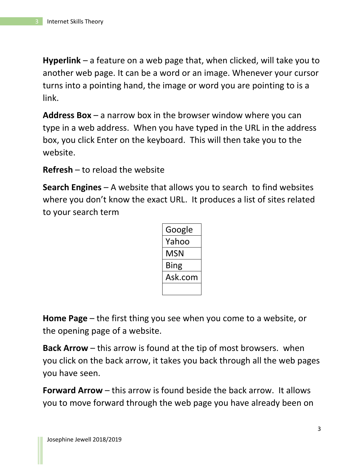**Hyperlink** – a feature on a web page that, when clicked, will take you to another web page. It can be a word or an image. Whenever your cursor turns into a pointing hand, the image or word you are pointing to is a link.

**Address Box** – a narrow box in the browser window where you can type in a web address. When you have typed in the URL in the address box, you click Enter on the keyboard. This will then take you to the website.

**Refresh** – to reload the website

**Search Engines** – A website that allows you to search to find websites where you don't know the exact URL. It produces a list of sites related to your search term

| Google  |
|---------|
| Yahoo   |
| MSN     |
| Bing    |
| Ask.com |
|         |

**Home Page** – the first thing you see when you come to a website, or the opening page of a website.

**Back Arrow** – this arrow is found at the tip of most browsers. when you click on the back arrow, it takes you back through all the web pages you have seen.

**Forward Arrow** – this arrow is found beside the back arrow. It allows you to move forward through the web page you have already been on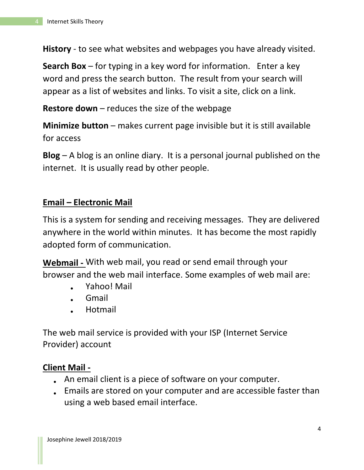**History** - to see what websites and webpages you have already visited.

**Search Box** – for typing in a key word for information. Enter a key word and press the search button. The result from your search will appear as a list of websites and links. To visit a site, click on a link.

**Restore down** – reduces the size of the webpage

**Minimize button** – makes current page invisible but it is still available for access

**Blog** – A blog is an online diary. It is a personal journal published on the internet. It is usually read by other people.

## **Email – Electronic Mail**

This is a system for sending and receiving messages. They are delivered anywhere in the world within minutes. It has become the most rapidly adopted form of communication.

**Webmail -** With web mail, you read or send email through your browser and the web mail interface. Some examples of web mail are:

- Yahoo! Mail
- Gmail
- Hotmail

The web mail service is provided with your ISP (Internet Service Provider) account

## **Client Mail -**

- An email client is a piece of software on your computer.
- Emails are stored on your computer and are accessible faster than using a web based email interface.